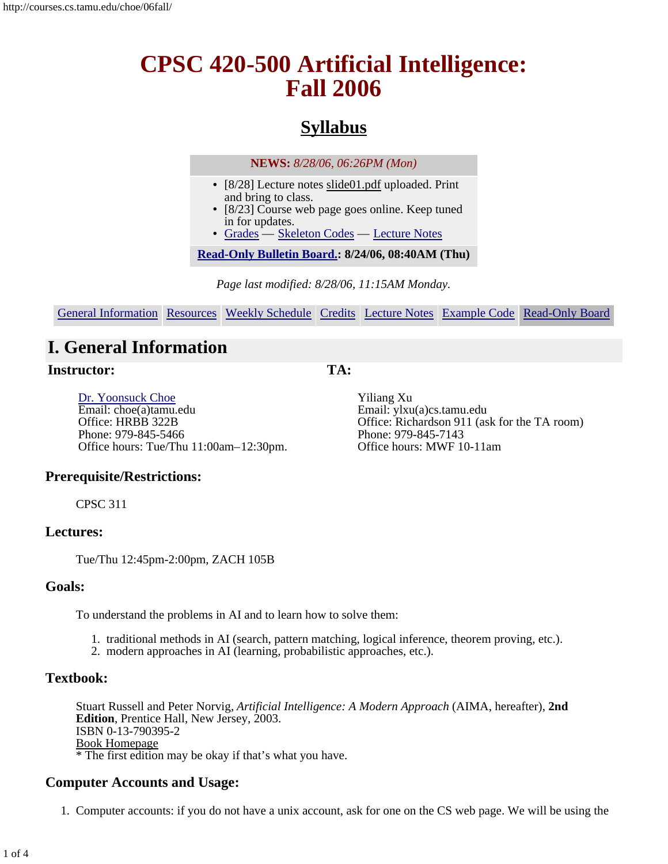# **CPSC 420-500 Artificial Intelligence: Fall 2006**

## **Syllabus**

**NEWS:** *8/28/06, 06:26PM (Mon)*

- [8/28] Lecture notes slide01.pdf uploaded. Print and bring to class.
- [8/23] Course web page goes online. Keep tuned in for updates.
- Grades Skeleton Codes Lecture Notes

**Read-Only Bulletin Board.: 8/24/06, 08:40AM (Thu)**

*Page last modified: 8/28/06, 11:15AM Monday.*

General Information Resources Weekly Schedule Credits Lecture Notes Example Code Read-Only Board

## **I. General Information**

#### **Instructor:**

**TA:**

Dr. Yoonsuck Choe Email: choe(a)tamu.edu Office: HRBB 322B Phone: 979-845-5466 Office hours: Tue/Thu 11:00am–12:30pm.

Yiliang Xu Email: ylxu(a)cs.tamu.edu Office: Richardson 911 (ask for the TA room) Phone: 979-845-7143 Office hours: MWF 10-11am

### **Prerequisite/Restrictions:**

CPSC 311

### **Lectures:**

Tue/Thu 12:45pm-2:00pm, ZACH 105B

### **Goals:**

To understand the problems in AI and to learn how to solve them:

- 1. traditional methods in AI (search, pattern matching, logical inference, theorem proving, etc.).
- 2. modern approaches in AI (learning, probabilistic approaches, etc.).

### **Textbook:**

Stuart Russell and Peter Norvig, *Artificial Intelligence: A Modern Approach* (AIMA, hereafter), **2nd Edition**, Prentice Hall, New Jersey, 2003. ISBN 0-13-790395-2 Book Homepage \* The first edition may be okay if that's what you have.

### **Computer Accounts and Usage:**

1. Computer accounts: if you do not have a unix account, ask for one on the CS web page. We will be using the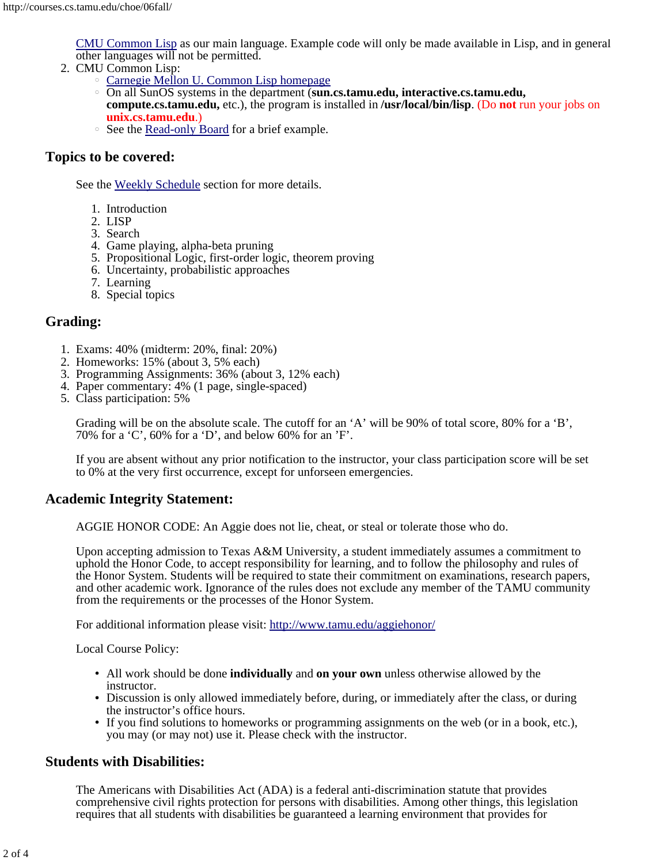CMU Common Lisp as our main language. Example code will only be made available in Lisp, and in general other languages will not be permitted.

- 2. CMU Common Lisp:
	- Carnegie Mellon U. Common Lisp homepage
	- On all SunOS systems in the department (**sun.cs.tamu.edu, interactive.cs.tamu.edu, compute.cs.tamu.edu,** etc.), the program is installed in **/usr/local/bin/lisp**. (Do **not** run your jobs on **unix.cs.tamu.edu**.)
	- See the Read-only Board for a brief example.

#### **Topics to be covered:**

See the Weekly Schedule section for more details.

- 1. Introduction
- 2. LISP
- 3. Search
- 4. Game playing, alpha-beta pruning
- 5. Propositional Logic, first-order logic, theorem proving
- 6. Uncertainty, probabilistic approaches
- 7. Learning
- 8. Special topics

#### **Grading:**

- 1. Exams: 40% (midterm: 20%, final: 20%)
- 2. Homeworks: 15% (about 3, 5% each)
- 3. Programming Assignments: 36% (about 3, 12% each)
- 4. Paper commentary: 4% (1 page, single-spaced)
- 5. Class participation: 5%

Grading will be on the absolute scale. The cutoff for an 'A' will be 90% of total score, 80% for a 'B', 70% for a 'C', 60% for a 'D', and below 60% for an 'F'.

If you are absent without any prior notification to the instructor, your class participation score will be set to 0% at the very first occurrence, except for unforseen emergencies.

#### **Academic Integrity Statement:**

AGGIE HONOR CODE: An Aggie does not lie, cheat, or steal or tolerate those who do.

Upon accepting admission to Texas A&M University, a student immediately assumes a commitment to uphold the Honor Code, to accept responsibility for learning, and to follow the philosophy and rules of the Honor System. Students will be required to state their commitment on examinations, research papers, and other academic work. Ignorance of the rules does not exclude any member of the TAMU community from the requirements or the processes of the Honor System.

For additional information please visit: http://www.tamu.edu/aggiehonor/

Local Course Policy:

- All work should be done **individually** and **on your own** unless otherwise allowed by the instructor.
- Discussion is only allowed immediately before, during, or immediately after the class, or during the instructor's office hours.
- If you find solutions to homeworks or programming assignments on the web (or in a book, etc.), you may (or may not) use it. Please check with the instructor.

#### **Students with Disabilities:**

The Americans with Disabilities Act (ADA) is a federal anti-discrimination statute that provides comprehensive civil rights protection for persons with disabilities. Among other things, this legislation requires that all students with disabilities be guaranteed a learning environment that provides for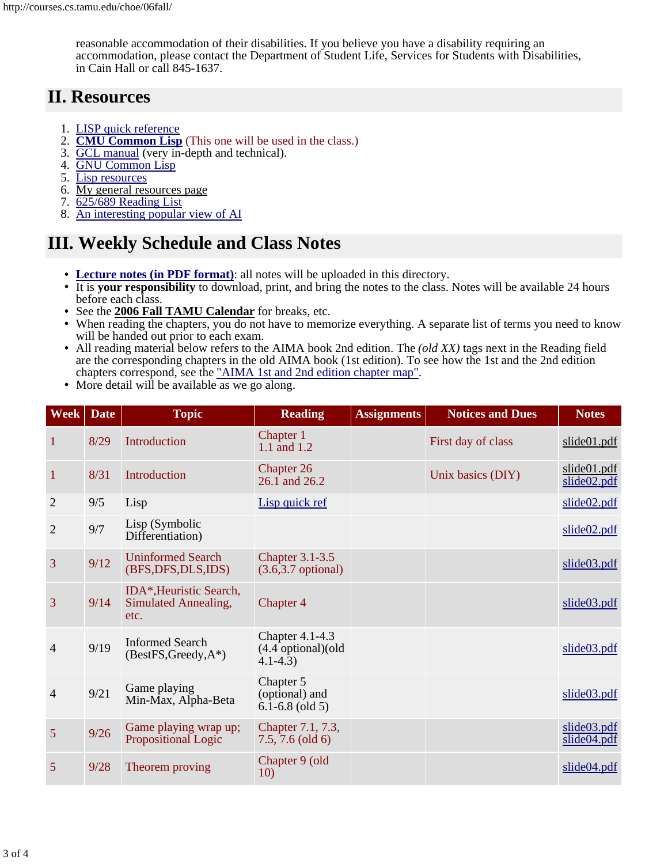reasonable accommodation of their disabilities. If you believe you have a disability requiring an accommodation, please contact the Department of Student Life, Services for Students with Disabilities, in Cain Hall or call 845-1637.

## **II. Resources**

- 1. LISP quick reference
- 2. **CMU Common Lisp** (This one will be used in the class.)
- 3. GCL manual (very in-depth and technical).
- 4. GNU Common Lisp
- 5. Lisp resources
- 6. My general resources page
- 7. 625/689 Reading List
- 8. An interesting popular view of AI

## **III. Weekly Schedule and Class Notes**

- **Lecture notes (in PDF format)**: all notes will be uploaded in this directory.
- $\cdot$  It is **your responsibility** to download, print, and bring the notes to the class. Notes will be available 24 hours before each class.
- See the **2006 Fall TAMU Calendar** for breaks, etc.
- When reading the chapters, you do not have to memorize everything. A separate list of terms you need to know will be handed out prior to each exam.
- All reading material below refers to the AIMA book 2nd edition. The *(old XX)* tags next in the Reading field are the corresponding chapters in the old AIMA book (1st edition). To see how the 1st and the 2nd edition chapters correspond, see the "AIMA 1st and 2nd edition chapter map".
- More detail will be available as we go along.

| <b>Week</b>    | <b>Date</b> | <b>Topic</b>                                            | <b>Reading</b>                                         | <b>Assignments</b> | <b>Notices and Dues</b> | <b>Notes</b>               |
|----------------|-------------|---------------------------------------------------------|--------------------------------------------------------|--------------------|-------------------------|----------------------------|
| 1              | 8/29        | Introduction                                            | Chapter 1<br>$1.1$ and $1.2$                           |                    | First day of class      | slide01.pdf                |
| $\mathbf{1}$   | 8/31        | Introduction                                            | Chapter 26<br>$26.1$ and $26.2$                        |                    | Unix basics (DIY)       | slide01.pdf<br>slideO2.pdf |
| $\overline{2}$ | 9/5         | Lisp                                                    | Lisp quick ref                                         |                    |                         | slide02.pdf                |
| $\overline{2}$ | 9/7         | Lisp (Symbolic<br>Differentiation)                      |                                                        |                    |                         | slide02.pdf                |
| 3              | 9/12        | <b>Uninformed Search</b><br>(BFS, DFS, DLS, IDS)        | <b>Chapter 3.1-3.5</b><br>$(3.6,3.7 \text{ optional})$ |                    |                         | slide03.pdf                |
| 3              | 9/14        | IDA*, Heuristic Search,<br>Simulated Annealing,<br>etc. | Chapter 4                                              |                    |                         | slide <sub>03.pdf</sub>    |
| 4              | 9/19        | <b>Informed Search</b><br>(BestFS, Greedy, A*)          | Chapter 4.1-4.3<br>(4.4 optional)(old<br>$4.1 - 4.3$   |                    |                         | slide <sub>03.pdf</sub>    |
| $\overline{4}$ | 9/21        | Game playing<br>Min-Max, Alpha-Beta                     | Chapter 5<br>(optional) and<br>$6.1 - 6.8$ (old 5)     |                    |                         | slide03.pdf                |
| 5              | 9/26        | Game playing wrap up;<br>Propositional Logic            | Chapter 7.1, 7.3,<br>$7.5, 7.6$ (old 6)                |                    |                         | slide03.pdf<br>slide04.pdf |
| 5              | 9/28        | Theorem proving                                         | Chapter 9 (old<br>10)                                  |                    |                         | slide04.pdf                |